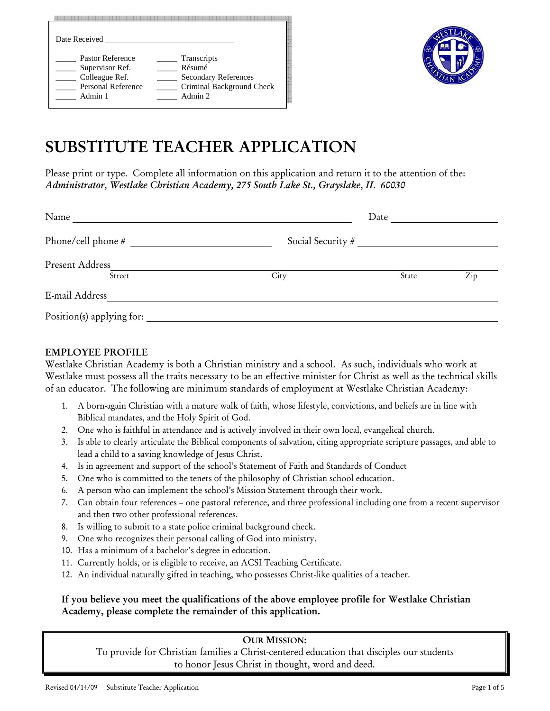| Date Received             |                             |
|---------------------------|-----------------------------|
| Pastor Reference          | Transcripts                 |
| Supervisor Ref.           | Résumé                      |
| Colleague Ref.            | <b>Secondary References</b> |
| <b>Personal Reference</b> | Criminal Background Check   |
| Admin 1                   | Admin 2                     |



# SUBSTITUTE TEACHER APPLICATION

Please print or type. Complete all information on this application and return it to the attention of the: *Administrator, Westlake Christian Academy, 275 South Lake St., Grayslake, IL 60030* 

| Name                      |                   | Date  |     |
|---------------------------|-------------------|-------|-----|
| Phone/cell phone #        | Social Security # |       |     |
| Present Address<br>Street | City              | State | Zip |
| E-mail Address            |                   |       |     |
| Position(s) applying for: |                   |       |     |

# EMPLOYEE PROFILE

Westlake Christian Academy is both a Christian ministry and a school. As such, individuals who work at Westlake must possess all the traits necessary to be an effective minister for Christ as well as the technical skills of an educator. The following are minimum standards of employment at Westlake Christian Academy:

- 1. A born-again Christian with a mature walk of faith, whose lifestyle, convictions, and beliefs are in line with Biblical mandates, and the Holy Spirit of God.
- 2. One who is faithful in attendance and is actively involved in their own local, evangelical church.
- 3. Is able to clearly articulate the Biblical components of salvation, citing appropriate scripture passages, and able to lead a child to a saving knowledge of Jesus Christ.
- 4. Is in agreement and support of the school's Statement of Faith and Standards of Conduct
- 5. One who is committed to the tenets of the philosophy of Christian school education.
- 6. A person who can implement the school's Mission Statement through their work.
- 7. Can obtain four references one pastoral reference, and three professional including one from a recent supervisor and then two other professional references.
- 8. Is willing to submit to a state police criminal background check.
- 9. One who recognizes their personal calling of God into ministry.
- 10. Has a minimum of a bachelor's degree in education.
- 11. Currently holds, or is eligible to receive, an ACSI Teaching Certificate.
- 12. An individual naturally gifted in teaching, who possesses Christ-like qualities of a teacher.

## If you believe you meet the qualifications of the above employee profile for Westlake Christian Academy, please complete the remainder of this application.

#### OUR MISSION:

To provide for Christian families a Christ-centered education that disciples our students to honor Jesus Christ in thought, word and deed.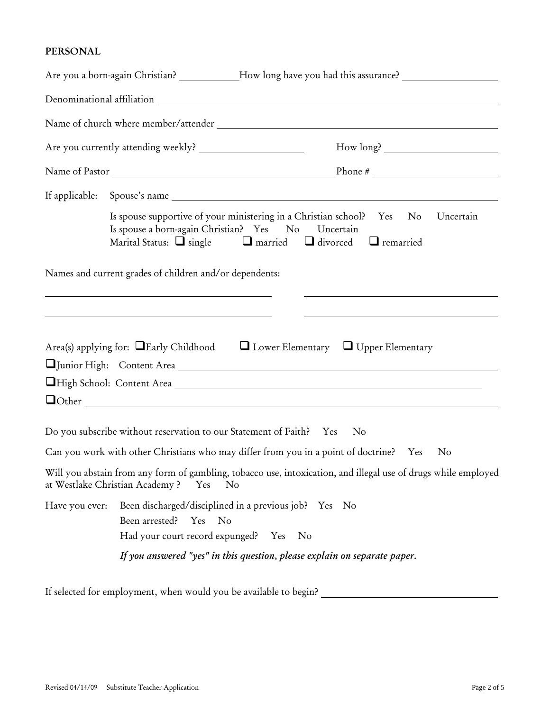# PERSONAL

|                |                                                                                | Are you a born-again Christian? ___________How long have you had this assurance? ___________________                                                                                                                                 |
|----------------|--------------------------------------------------------------------------------|--------------------------------------------------------------------------------------------------------------------------------------------------------------------------------------------------------------------------------------|
|                |                                                                                |                                                                                                                                                                                                                                      |
|                |                                                                                |                                                                                                                                                                                                                                      |
|                |                                                                                |                                                                                                                                                                                                                                      |
|                |                                                                                |                                                                                                                                                                                                                                      |
|                |                                                                                |                                                                                                                                                                                                                                      |
|                | Is spouse a born-again Christian? Yes No Uncertain                             | Is spouse supportive of your ministering in a Christian school? Yes No<br>Uncertain<br>Marital Status: $\Box$ single $\Box$ married $\Box$ divorced $\Box$ remarried                                                                 |
|                | Names and current grades of children and/or dependents:                        |                                                                                                                                                                                                                                      |
|                |                                                                                | <u> Andreas Andreas Andreas Andreas Andreas Andreas Andreas Andreas Andreas Andreas Andreas Andreas Andreas Andreas Andreas Andreas Andreas Andreas Andreas Andreas Andreas Andreas Andreas Andreas Andreas Andreas Andreas Andr</u> |
|                |                                                                                |                                                                                                                                                                                                                                      |
|                |                                                                                | Area(s) applying for: $\Box$ Early Childhood $\Box$ Lower Elementary $\Box$ Upper Elementary                                                                                                                                         |
|                |                                                                                |                                                                                                                                                                                                                                      |
|                |                                                                                | High School: Content Area                                                                                                                                                                                                            |
|                |                                                                                |                                                                                                                                                                                                                                      |
|                |                                                                                |                                                                                                                                                                                                                                      |
|                | Do you subscribe without reservation to our Statement of Faith? Yes            | $\rm No$                                                                                                                                                                                                                             |
|                |                                                                                | Can you work with other Christians who may differ from you in a point of doctrine? Yes<br>N <sub>o</sub>                                                                                                                             |
|                | at Westlake Christian Academy?<br>Yes<br>N <sub>o</sub>                        | Will you abstain from any form of gambling, tobacco use, intoxication, and illegal use of drugs while employed                                                                                                                       |
| Have you ever: | Been discharged/disciplined in a previous job? Yes No<br>Been arrested? Yes No |                                                                                                                                                                                                                                      |
|                | Had your court record expunged? Yes No                                         |                                                                                                                                                                                                                                      |
|                |                                                                                | If you answered "yes" in this question, please explain on separate paper.                                                                                                                                                            |
|                |                                                                                |                                                                                                                                                                                                                                      |

If selected for employment, when would you be available to begin?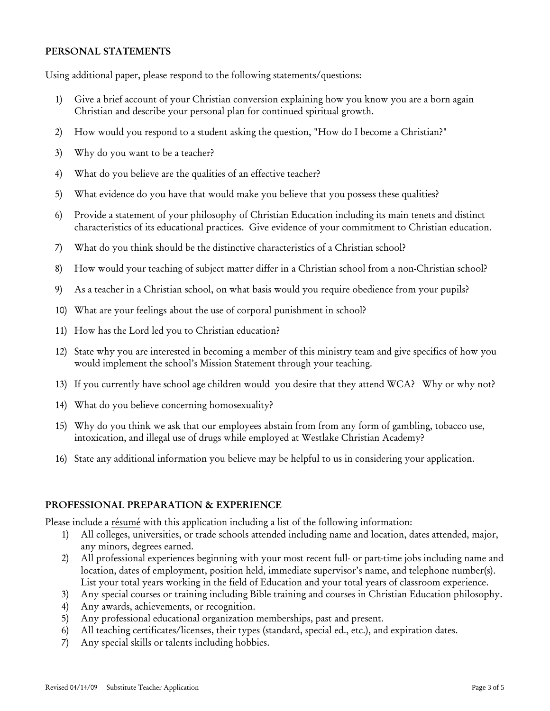#### PERSONAL STATEMENTS

Using additional paper, please respond to the following statements/questions:

- 1) Give a brief account of your Christian conversion explaining how you know you are a born again Christian and describe your personal plan for continued spiritual growth.
- 2) How would you respond to a student asking the question, "How do I become a Christian?"
- 3) Why do you want to be a teacher?
- 4) What do you believe are the qualities of an effective teacher?
- 5) What evidence do you have that would make you believe that you possess these qualities?
- 6) Provide a statement of your philosophy of Christian Education including its main tenets and distinct characteristics of its educational practices. Give evidence of your commitment to Christian education.
- 7) What do you think should be the distinctive characteristics of a Christian school?
- 8) How would your teaching of subject matter differ in a Christian school from a non-Christian school?
- 9) As a teacher in a Christian school, on what basis would you require obedience from your pupils?
- 10) What are your feelings about the use of corporal punishment in school?
- 11) How has the Lord led you to Christian education?
- 12) State why you are interested in becoming a member of this ministry team and give specifics of how you would implement the school's Mission Statement through your teaching.
- 13) If you currently have school age children would you desire that they attend WCA? Why or why not?
- 14) What do you believe concerning homosexuality?
- 15) Why do you think we ask that our employees abstain from from any form of gambling, tobacco use, intoxication, and illegal use of drugs while employed at Westlake Christian Academy?
- 16) State any additional information you believe may be helpful to us in considering your application.

#### PROFESSIONAL PREPARATION & EXPERIENCE

Please include a résumé with this application including a list of the following information:

- 1) All colleges, universities, or trade schools attended including name and location, dates attended, major, any minors, degrees earned.
- 2) All professional experiences beginning with your most recent full- or part-time jobs including name and location, dates of employment, position held, immediate supervisor's name, and telephone number(s). List your total years working in the field of Education and your total years of classroom experience.
- 3) Any special courses or training including Bible training and courses in Christian Education philosophy.
- 4) Any awards, achievements, or recognition.
- 5) Any professional educational organization memberships, past and present.
- 6) All teaching certificates/licenses, their types (standard, special ed., etc.), and expiration dates.
- 7) Any special skills or talents including hobbies.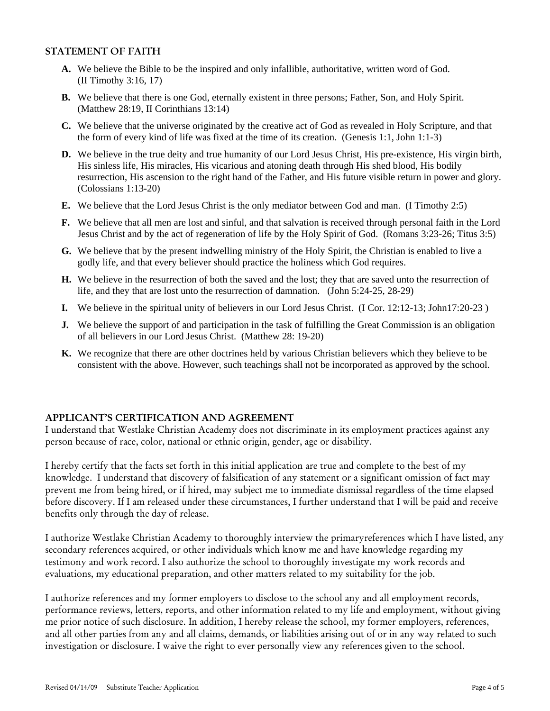#### STATEMENT OF FAITH

- **A.** We believe the Bible to be the inspired and only infallible, authoritative, written word of God. (II Timothy 3:16, 17)
- **B.** We believe that there is one God, eternally existent in three persons; Father, Son, and Holy Spirit. (Matthew 28:19, II Corinthians 13:14)
- **C.** We believe that the universe originated by the creative act of God as revealed in Holy Scripture, and that the form of every kind of life was fixed at the time of its creation. (Genesis 1:1, John 1:1-3)
- **D.** We believe in the true deity and true humanity of our Lord Jesus Christ, His pre-existence, His virgin birth, His sinless life, His miracles, His vicarious and atoning death through His shed blood, His bodily resurrection, His ascension to the right hand of the Father, and His future visible return in power and glory. (Colossians 1:13-20)
- **E.** We believe that the Lord Jesus Christ is the only mediator between God and man. (I Timothy 2:5)
- **F.** We believe that all men are lost and sinful, and that salvation is received through personal faith in the Lord Jesus Christ and by the act of regeneration of life by the Holy Spirit of God. (Romans 3:23-26; Titus 3:5)
- **G.** We believe that by the present indwelling ministry of the Holy Spirit, the Christian is enabled to live a godly life, and that every believer should practice the holiness which God requires.
- **H.** We believe in the resurrection of both the saved and the lost; they that are saved unto the resurrection of life, and they that are lost unto the resurrection of damnation. (John 5:24-25, 28-29)
- **I.** We believe in the spiritual unity of believers in our Lord Jesus Christ. (I Cor. 12:12-13; John17:20-23 )
- **J.** We believe the support of and participation in the task of fulfilling the Great Commission is an obligation of all believers in our Lord Jesus Christ. (Matthew 28: 19-20)
- **K.** We recognize that there are other doctrines held by various Christian believers which they believe to be consistent with the above. However, such teachings shall not be incorporated as approved by the school.

## APPLICANT'S CERTIFICATION AND AGREEMENT

I understand that Westlake Christian Academy does not discriminate in its employment practices against any person because of race, color, national or ethnic origin, gender, age or disability.

I hereby certify that the facts set forth in this initial application are true and complete to the best of my knowledge. I understand that discovery of falsification of any statement or a significant omission of fact may prevent me from being hired, or if hired, may subject me to immediate dismissal regardless of the time elapsed before discovery. If I am released under these circumstances, I further understand that I will be paid and receive benefits only through the day of release.

I authorize Westlake Christian Academy to thoroughly interview the primaryreferences which I have listed, any secondary references acquired, or other individuals which know me and have knowledge regarding my testimony and work record. I also authorize the school to thoroughly investigate my work records and evaluations, my educational preparation, and other matters related to my suitability for the job.

I authorize references and my former employers to disclose to the school any and all employment records, performance reviews, letters, reports, and other information related to my life and employment, without giving me prior notice of such disclosure. In addition, I hereby release the school, my former employers, references, and all other parties from any and all claims, demands, or liabilities arising out of or in any way related to such investigation or disclosure. I waive the right to ever personally view any references given to the school.